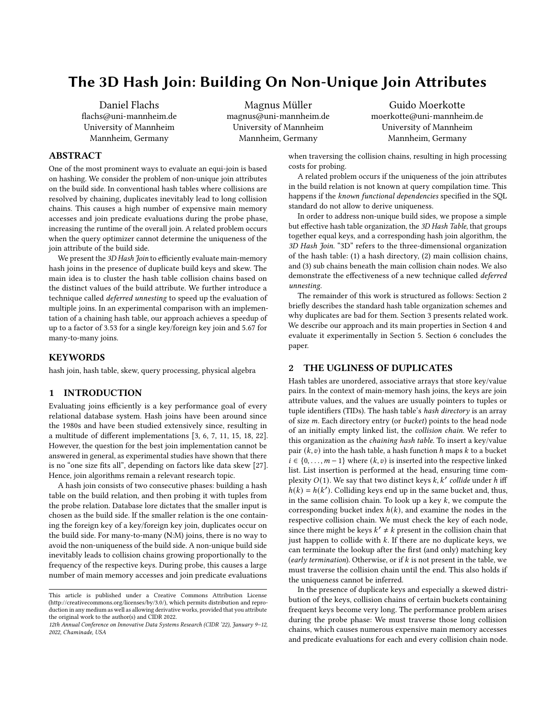# The 3D Hash Join: Building On Non-Unique Join Attributes

Daniel Flachs flachs@uni-mannheim.de University of Mannheim Mannheim, Germany

Magnus Müller magnus@uni-mannheim.de University of Mannheim Mannheim, Germany

Guido Moerkotte moerkotte@uni-mannheim.de University of Mannheim Mannheim, Germany

# ABSTRACT

One of the most prominent ways to evaluate an equi-join is based on hashing. We consider the problem of non-unique join attributes on the build side. In conventional hash tables where collisions are resolved by chaining, duplicates inevitably lead to long collision chains. This causes a high number of expensive main memory accesses and join predicate evaluations during the probe phase, increasing the runtime of the overall join. A related problem occurs when the query optimizer cannot determine the uniqueness of the join attribute of the build side.

We present the 3D Hash Join to efficiently evaluate main-memory hash joins in the presence of duplicate build keys and skew. The main idea is to cluster the hash table collision chains based on the distinct values of the build attribute. We further introduce a technique called deferred unnesting to speed up the evaluation of multiple joins. In an experimental comparison with an implementation of a chaining hash table, our approach achieves a speedup of up to a factor of 3.53 for a single key/foreign key join and 5.67 for many-to-many joins.

## **KEYWORDS**

hash join, hash table, skew, query processing, physical algebra

#### <span id="page-0-1"></span>1 INTRODUCTION

Evaluating joins efficiently is a key performance goal of every relational database system. Hash joins have been around since the 1980s and have been studied extensively since, resulting in a multitude of different implementations [\[3,](#page-7-0) [6,](#page-7-1) [7,](#page-7-2) [11,](#page-7-3) [15,](#page-7-4) [18,](#page-7-5) [22\]](#page-7-6). However, the question for the best join implementation cannot be answered in general, as experimental studies have shown that there is no "one size fits all", depending on factors like data skew [\[27\]](#page-8-0). Hence, join algorithms remain a relevant research topic.

A hash join consists of two consecutive phases: building a hash table on the build relation, and then probing it with tuples from the probe relation. Database lore dictates that the smaller input is chosen as the build side. If the smaller relation is the one containing the foreign key of a key/foreign key join, duplicates occur on the build side. For many-to-many (N:M) joins, there is no way to avoid the non-uniqueness of the build side. A non-unique build side inevitably leads to collision chains growing proportionally to the frequency of the respective keys. During probe, this causes a large number of main memory accesses and join predicate evaluations

when traversing the collision chains, resulting in high processing costs for probing.

A related problem occurs if the uniqueness of the join attributes in the build relation is not known at query compilation time. This happens if the known functional dependencies specified in the SQL standard do not allow to derive uniqueness.

In order to address non-unique build sides, we propose a simple but effective hash table organization, the 3D Hash Table, that groups together equal keys, and a corresponding hash join algorithm, the 3D Hash Join. "3D" refers to the three-dimensional organization of the hash table: (1) a hash directory, (2) main collision chains, and (3) sub chains beneath the main collision chain nodes. We also demonstrate the effectiveness of a new technique called deferred unnesting.

The remainder of this work is structured as follows: [Section 2](#page-0-0) briefly describes the standard hash table organization schemes and why duplicates are bad for them. [Section 3](#page-1-0) presents related work. We describe our approach and its main properties in [Section 4](#page-1-1) and evaluate it experimentally in [Section 5.](#page-4-0) [Section 6](#page-7-7) concludes the paper.

# <span id="page-0-0"></span>2 THE UGLINESS OF DUPLICATES

Hash tables are unordered, associative arrays that store key/value pairs. In the context of main-memory hash joins, the keys are join attribute values, and the values are usually pointers to tuples or tuple identifiers (TIDs). The hash table's hash directory is an array of size m. Each directory entry (or bucket) points to the head node of an initially empty linked list, the collision chain. We refer to this organization as the chaining hash table. To insert a key/value pair  $(k, v)$  into the hash table, a hash function h maps k to a bucket  $i \in \{0, \ldots, m-1\}$  where  $(k, v)$  is inserted into the respective linked list. List insertion is performed at the head, ensuring time complexity  $O(1)$ . We say that two distinct keys  $k, k'$  collide under h iff  $h(k) = h(k')$ . Colliding keys end up in the same bucket and, thus, in the same collision chain. To look up a key  $k$ , we compute the corresponding bucket index  $h(k)$ , and examine the nodes in the respective collision chain. We must check the key of each node, since there might be keys  $k' \neq k$  present in the collision chain that just happen to collide with  $k$ . If there are no duplicate keys, we can terminate the lookup after the first (and only) matching key (early termination). Otherwise, or if  $k$  is not present in the table, we must traverse the collision chain until the end. This also holds if the uniqueness cannot be inferred.

In the presence of duplicate keys and especially a skewed distribution of the keys, collision chains of certain buckets containing frequent keys become very long. The performance problem arises during the probe phase: We must traverse those long collision chains, which causes numerous expensive main memory accesses and predicate evaluations for each and every collision chain node.

This article is published under a Creative Commons Attribution License [\(http://creativecommons.org/licenses/by/3.0/\)](http://creativecommons.org/licenses/by/3.0/), which permits distribution and reproduction in any medium as well as allowing derivative works, provided that you attribute the original work to the author(s) and CIDR 2022.

<sup>12</sup>th Annual Conference on Innovative Data Systems Research (CIDR '22), January 9–12, 2022, Chaminade, USA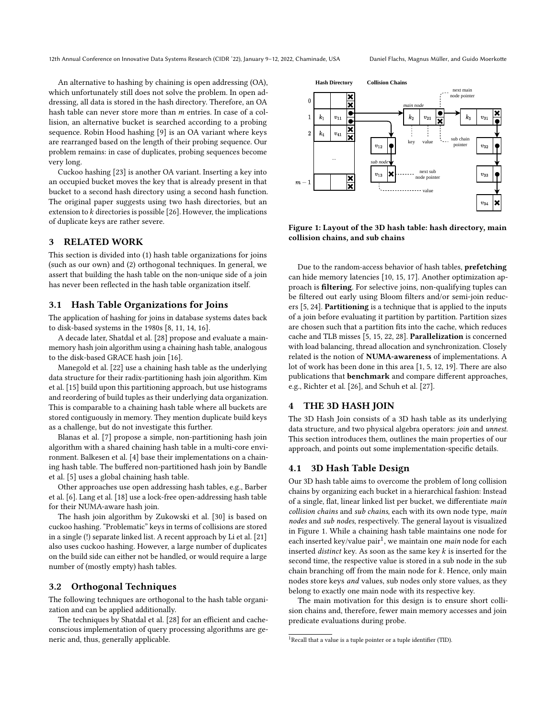An alternative to hashing by chaining is open addressing (OA), which unfortunately still does not solve the problem. In open addressing, all data is stored in the hash directory. Therefore, an OA hash table can never store more than  $m$  entries. In case of a collision, an alternative bucket is searched according to a probing sequence. Robin Hood hashing [\[9\]](#page-7-8) is an OA variant where keys are rearranged based on the length of their probing sequence. Our problem remains: in case of duplicates, probing sequences become very long.

Cuckoo hashing [\[23\]](#page-8-1) is another OA variant. Inserting a key into an occupied bucket moves the key that is already present in that bucket to a second hash directory using a second hash function. The original paper suggests using two hash directories, but an extension to  $k$  directories is possible [\[26\]](#page-8-2). However, the implications of duplicate keys are rather severe.

## <span id="page-1-0"></span>3 RELATED WORK

This section is divided into (1) hash table organizations for joins (such as our own) and (2) orthogonal techniques. In general, we assert that building the hash table on the non-unique side of a join has never been reflected in the hash table organization itself.

## 3.1 Hash Table Organizations for Joins

The application of hashing for joins in database systems dates back to disk-based systems in the 1980s [\[8,](#page-7-9) [11,](#page-7-3) [14,](#page-7-10) [16\]](#page-7-11).

A decade later, [Shatdal et al.](#page-8-3) [\[28\]](#page-8-3) propose and evaluate a mainmemory hash join algorithm using a chaining hash table, analogous to the disk-based GRACE hash join [\[16\]](#page-7-11).

[Manegold et al.](#page-7-6) [\[22\]](#page-7-6) use a chaining hash table as the underlying data structure for their radix-partitioning hash join algorithm. [Kim](#page-7-4) [et al.](#page-7-4) [\[15\]](#page-7-4) build upon this partitioning approach, but use histograms and reordering of build tuples as their underlying data organization. This is comparable to a chaining hash table where all buckets are stored contiguously in memory. They mention duplicate build keys as a challenge, but do not investigate this further.

[Blanas et al.](#page-7-2) [\[7\]](#page-7-2) propose a simple, non-partitioning hash join algorithm with a shared chaining hash table in a multi-core environment. [Balkesen et al.](#page-7-12) [\[4\]](#page-7-12) base their implementations on a chaining hash table. The buffered non-partitioned hash join by [Bandle](#page-7-13) [et al.](#page-7-13) [\[5\]](#page-7-13) uses a global chaining hash table.

Other approaches use open addressing hash tables, e.g., [Barber](#page-7-1) [et al.](#page-7-1) [\[6\]](#page-7-1). [Lang et al.](#page-7-5) [\[18\]](#page-7-5) use a lock-free open-addressing hash table for their NUMA-aware hash join.

The hash join algorithm by [Zukowski et al.](#page-8-4) [\[30\]](#page-8-4) is based on cuckoo hashing. "Problematic" keys in terms of collisions are stored in a single (!) separate linked list. A recent approach by [Li et al.](#page-7-14) [\[21\]](#page-7-14) also uses cuckoo hashing. However, a large number of duplicates on the build side can either not be handled, or would require a large number of (mostly empty) hash tables.

#### 3.2 Orthogonal Techniques

The following techniques are orthogonal to the hash table organization and can be applied additionally.

The techniques by [Shatdal et al.](#page-8-3) [\[28\]](#page-8-3) for an efficient and cacheconscious implementation of query processing algorithms are generic and, thus, generally applicable.

<span id="page-1-2"></span>

Figure 1: Layout of the 3D hash table: hash directory, main collision chains, and sub chains

Due to the random-access behavior of hash tables, prefetching can hide memory latencies [\[10,](#page-7-15) [15,](#page-7-4) [17\]](#page-7-16). Another optimization approach is filtering. For selective joins, non-qualifying tuples can be filtered out early using Bloom filters and/or semi-join reducers [\[5,](#page-7-13) [24\]](#page-8-5). Partitioning is a technique that is applied to the inputs of a join before evaluating it partition by partition. Partition sizes are chosen such that a partition fits into the cache, which reduces cache and TLB misses [\[5,](#page-7-13) [15,](#page-7-4) [22,](#page-7-6) [28\]](#page-8-3). Parallelization is concerned with load balancing, thread allocation and synchronization. Closely related is the notion of NUMA-awareness of implementations. A lot of work has been done in this area [\[1,](#page-7-17) [5,](#page-7-13) [12,](#page-7-18) [19\]](#page-7-19). There are also publications that benchmark and compare different approaches, e.g., [Richter et al.](#page-8-2) [\[26\]](#page-8-2), and [Schuh et al.](#page-8-0) [\[27\]](#page-8-0).

#### <span id="page-1-1"></span>4 THE 3D HASH JOIN

The 3D Hash Join consists of a 3D hash table as its underlying data structure, and two physical algebra operators: join and unnest. This section introduces them, outlines the main properties of our approach, and points out some implementation-specific details.

## <span id="page-1-4"></span>4.1 3D Hash Table Design

Our 3D hash table aims to overcome the problem of long collision chains by organizing each bucket in a hierarchical fashion: Instead of a single, flat, linear linked list per bucket, we differentiate main collision chains and sub chains, each with its own node type, main nodes and sub nodes, respectively. The general layout is visualized in [Figure 1.](#page-1-2) While a chaining hash table maintains one node for each inserted key/value pair<sup>[1](#page-1-3)</sup>, we maintain one *main* node for each inserted *distinct* key. As soon as the same key  $k$  is inserted for the second time, the respective value is stored in a sub node in the sub chain branching off from the main node for  $k$ . Hence, only main nodes store keys and values, sub nodes only store values, as they belong to exactly one main node with its respective key.

The main motivation for this design is to ensure short collision chains and, therefore, fewer main memory accesses and join predicate evaluations during probe.

<span id="page-1-3"></span><sup>&</sup>lt;sup>1</sup> Recall that a value is a tuple pointer or a tuple identifier (TID).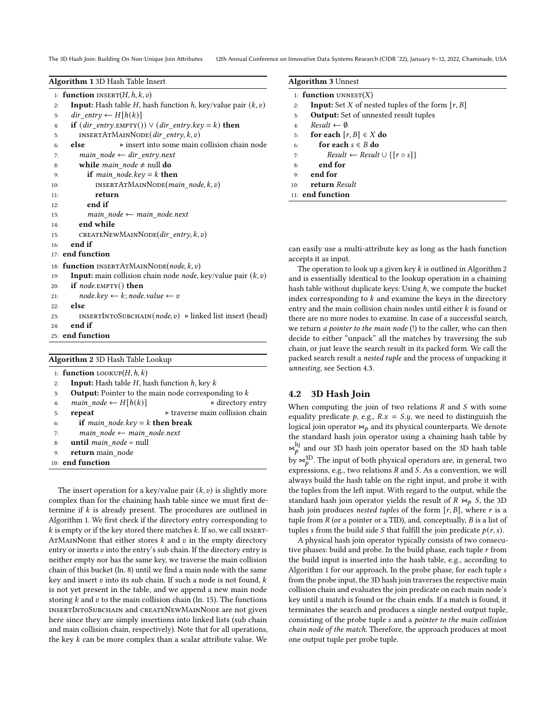The 3D Hash Join: Building On Non-Unique Join Attributes 12th Annual Conference on Innovative Data Systems Research (CIDR '22), January 9-12, 2022, Chaminade, USA

<span id="page-2-0"></span>

|     | <b>Algorithm 1</b> 3D Hash Table Insert                                              |  |  |  |  |  |
|-----|--------------------------------------------------------------------------------------|--|--|--|--|--|
|     | 1: <b>function</b> INSERT $(H, h, k, v)$                                             |  |  |  |  |  |
| 2:  | <b>Input:</b> Hash table <i>H</i> , hash function <i>h</i> , key/value pair $(k, v)$ |  |  |  |  |  |
| 3:  | $dir\_entry \leftarrow H[h(k)]$                                                      |  |  |  |  |  |
| 4:  | if $(dir\_entry.\text{EMPTY})) \vee (dir\_entry.\text{key} = k)$ then                |  |  |  |  |  |
| 5:  | INSERTATMAINNODE( $dir\_entry, k, v$ )                                               |  |  |  |  |  |
| 6:  | else<br>⊳ insert into some main collision chain node                                 |  |  |  |  |  |
| 7:  | main node $\leftarrow$ dir entry.next                                                |  |  |  |  |  |
| 8:  | while $main\_node \neq null$ do                                                      |  |  |  |  |  |
| 9:  | <b>if</b> main_node.key = $k$ <b>then</b>                                            |  |  |  |  |  |
| 10: | INSERTATMAINNODE( <i>main_node</i> , $k$ , $v$ )                                     |  |  |  |  |  |
| 11: | return                                                                               |  |  |  |  |  |
| 12: | end if                                                                               |  |  |  |  |  |
| 13: | $main\_node \leftarrow main\_node.next$                                              |  |  |  |  |  |
| 14: | end while                                                                            |  |  |  |  |  |
| 15: | CREATENEWMAINNODE( $dir\_entry, k, v$ )                                              |  |  |  |  |  |
| 16: | end if                                                                               |  |  |  |  |  |
|     | 17: end function                                                                     |  |  |  |  |  |
|     | 18: <b>function</b> INSERTATMAINNODE( <i>node, k, v</i> )                            |  |  |  |  |  |
| 19: | <b>Input:</b> main collision chain node <i>node</i> , key/value pair $(k, v)$        |  |  |  |  |  |
| 20: | <b>if</b> <i>node</i> .EMPTY $()$ <b>then</b>                                        |  |  |  |  |  |
| 21: | $node(key \leftarrow k; node.value \leftarrow v$                                     |  |  |  |  |  |
| 22: | else                                                                                 |  |  |  |  |  |
| 23: | INSERTINTOSUBCHAIN( <i>node, v</i> ) > linked list insert (head)                     |  |  |  |  |  |
| 24: | end if                                                                               |  |  |  |  |  |
|     | 25: end function                                                                     |  |  |  |  |  |
|     |                                                                                      |  |  |  |  |  |

<span id="page-2-1"></span>

| Algorithm 2 3D Hash Table Lookup |                                                              |                                                |  |  |  |  |
|----------------------------------|--------------------------------------------------------------|------------------------------------------------|--|--|--|--|
|                                  | 1: <b>function</b> LOOKUP $(H, h, k)$                        |                                                |  |  |  |  |
| 2:                               | <b>Input:</b> Hash table H, hash function $h$ , key $k$      |                                                |  |  |  |  |
| 3:                               | <b>Output:</b> Pointer to the main node corresponding to $k$ |                                                |  |  |  |  |
| 4:                               | main node $\leftarrow$ H[h(k)]                               | $\triangleright$ directory entry               |  |  |  |  |
| 5:                               | repeat                                                       | $\triangleright$ traverse main collision chain |  |  |  |  |
| 6:                               | <b>if</b> main node.key = k <b>then break</b>                |                                                |  |  |  |  |
| 7:                               | main node $\leftarrow$ main node.next                        |                                                |  |  |  |  |
| 8:                               | <b>until</b> <i>main</i> $node = null$                       |                                                |  |  |  |  |
| 9:                               | return main node                                             |                                                |  |  |  |  |
|                                  | 10: end function                                             |                                                |  |  |  |  |

The insert operation for a key/value pair  $(k, v)$  is slightly more complex than for the chaining hash table since we must first determine if  $k$  is already present. The procedures are outlined in [Algorithm 1.](#page-2-0) We first check if the directory entry corresponding to  $k$  is empty or if the key stored there matches  $k$ . If so, we call INSERT-ATMAINNODE that either stores  $k$  and  $v$  in the empty directory entry or inserts  $v$  into the entry's sub chain. If the directory entry is neither empty nor has the same key, we traverse the main collision chain of this bucket (ln. [8\)](#page-2-0) until we find a main node with the same key and insert  $v$  into its sub chain. If such a node is not found,  $k$ is not yet present in the table, and we append a new main node storing  $k$  and  $v$  to the main collision chain (ln. [15\)](#page-2-0). The functions insertIntoSubchain and createNewMainNode are not given here since they are simply insertions into linked lists (sub chain and main collision chain, respectively). Note that for all operations, the key  $k$  can be more complex than a scalar attribute value. We

<span id="page-2-2"></span>

| 1: <b>function</b> UNNEST $(X)$                                 |
|-----------------------------------------------------------------|
| <b>Input:</b> Set X of nested tuples of the form $[r, B]$<br>2: |
| <b>Output:</b> Set of unnested result tuples<br>3:              |
| $Result \leftarrow \emptyset$<br>4:                             |
| for each $[r, B] \in X$ do<br>5:                                |
| for each $s \in B$ do<br>6:                                     |
| $Result \leftarrow Result \cup \{ [r \circ s] \}$<br>7:         |
| end for<br>8:                                                   |
| end for<br>9:                                                   |
| return Result<br>10:                                            |
| $11:$ end function                                              |

can easily use a multi-attribute key as long as the hash function accepts it as input.

The operation to look up a given key  $k$  is outlined in [Algorithm 2](#page-2-1) and is essentially identical to the lookup operation in a chaining hash table without duplicate keys: Using  $h$ , we compute the bucket index corresponding to  $k$  and examine the keys in the directory entry and the main collision chain nodes until either  $k$  is found or there are no more nodes to examine. In case of a successful search, we return a pointer to the main node (!) to the caller, who can then decide to either "unpack" all the matches by traversing the sub chain, or just leave the search result in its packed form. We call the packed search result a nested tuple and the process of unpacking it unnesting, see Section [4.3.](#page-3-0)

## 4.2 3D Hash Join

When computing the join of two relations  $R$  and  $S$  with some equality predicate p, e.g.,  $R.x = S.y$ , we need to distinguish the logical join operator  $\bowtie$ <sub>p</sub> and its physical counterparts. We denote the standard hash join operator using a chaining hash table by  $\Join^{hj}_{D}$  and our 3D hash join operator based on the 3D hash table by  $\bowtie_b^{3D}$ . The input of both physical operators are, in general, two expressions, e.g., two relations  $R$  and  $S$ . As a convention, we will always build the hash table on the right input, and probe it with the tuples from the left input. With regard to the output, while the standard hash join operator yields the result of  $R \bowtie_p S$ , the 3D hash join produces nested tuples of the form  $[r, B]$ , where r is a tuple from  $R$  (or a pointer or a TID), and, conceptually,  $B$  is a list of tuples *s* from the build side *S* that fulfill the join predicate  $p(r, s)$ .

A physical hash join operator typically consists of two consecutive phases: build and probe. In the build phase, each tuple  $r$  from the build input is inserted into the hash table, e.g., according to [Algorithm 1](#page-2-0) for our approach. In the probe phase, for each tuple s from the probe input, the 3D hash join traverses the respective main collision chain and evaluates the join predicate on each main node's key until a match is found or the chain ends. If a match is found, it terminates the search and produces a single nested output tuple, consisting of the probe tuple s and a pointer to the main collision chain node of the match. Therefore, the approach produces at most one output tuple per probe tuple.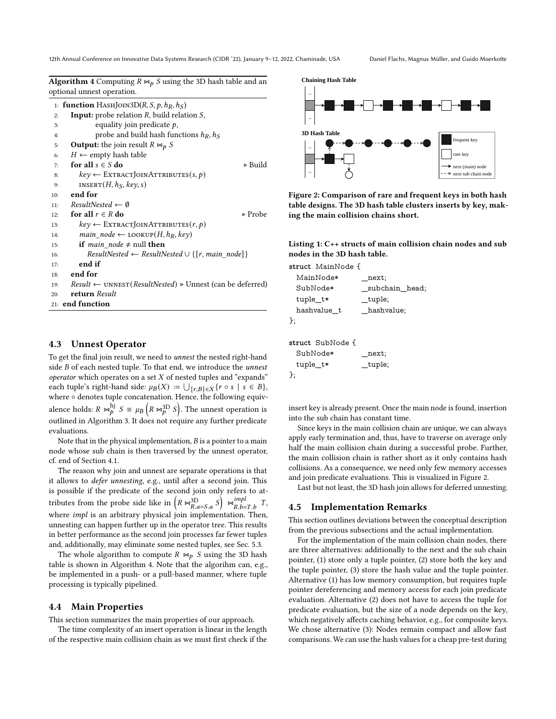12th Annual Conference on Innovative Data Systems Research (CIDR '22), January 9-12, 2022, Chaminade, USA Daniel Flachs, Magnus Müller, and Guido Moerkotte

<span id="page-3-1"></span>**Algorithm 4** Computing  $R \Join_p S$  using the 3D hash table and an optional unnest operation.

|     | 1: <b>function</b> HASHJOIN3D( <i>R</i> , <i>S</i> , <i>p</i> , <i>h<sub>R</sub></i> , <i>h</i> <sub><i>S</i></sub> ) |
|-----|-----------------------------------------------------------------------------------------------------------------------|
| 2:  | <b>Input:</b> probe relation $R$ , build relation $S$ ,                                                               |
| 3:  | equality join predicate $p$ ,                                                                                         |
| 4:  | probe and build hash functions $h_R$ , $h_S$                                                                          |
| 5:  | <b>Output:</b> the join result $R \bowtie_p S$                                                                        |
| 6:  | $H \leftarrow$ empty hash table                                                                                       |
| 7:  | for all $s \in S$ do<br>⊳ Build                                                                                       |
| 8:  | $key \leftarrow \text{ENTRACTJONATTRIBUTES}(s, p)$                                                                    |
| 9:  | INSERT $(H, hS, \textit{key}, s)$                                                                                     |
| 10: | end for                                                                                                               |
| 11: | $ResultNested \leftarrow \emptyset$                                                                                   |
| 12: | for all $r \in R$ do<br>$\triangleright$ Probe                                                                        |
| 13: | $key \leftarrow \text{EXTRACTJOINATTRIBUTES}(r, p)$                                                                   |
| 14: | main node $\leftarrow$ LOOKUP $(H, h_R, kev)$                                                                         |
| 15: | if <i>main</i> node $\neq$ null then                                                                                  |
| 16: | $ResultNested \leftarrow ResultNested \cup \{[r, main node]\}$                                                        |
| 17: | end if                                                                                                                |
| 18: | end for                                                                                                               |
| 19: | $Result \leftarrow UNNEST(ResultNested) \triangleright Unnest (can be deferred)$                                      |
| 20: | return Result                                                                                                         |
|     | $21:$ end function                                                                                                    |
|     |                                                                                                                       |

## <span id="page-3-0"></span>4.3 Unnest Operator

To get the final join result, we need to unnest the nested right-hand side  $B$  of each nested tuple. To that end, we introduce the unnest operator which operates on a set  $X$  of nested tuples and "expands" each tuple's right-hand side:  $\mu_B(X) := \bigcup_{[r,B] \in X} \{r \circ s \mid s \in B\},\$ where ∘ denotes tuple concatenation. Hence, the following equivalence holds:  $R \Join_b^{\text{h}j} S \equiv \mu_B \left( R \Join_b^{\text{3D}} S \right)$ . The unnest operation is outlined in [Algorithm 3.](#page-2-2) It does not require any further predicate evaluations.

Note that in the physical implementation,  $B$  is a pointer to a main node whose sub chain is then traversed by the unnest operator, cf. end of Section [4.1.](#page-1-4)

The reason why join and unnest are separate operations is that it allows to defer unnesting, e.g., until after a second join. This is possible if the predicate of the second join only refers to attributes from the probe side like in  $\left(R \Join_{R.a=S.a}^{3D} S \right) \Join_{R.b=T.b}^{impl} T$ , where *impl* is an arbitrary physical join implementation. Then, unnesting can happen further up in the operator tree. This results in better performance as the second join processes far fewer tuples and, additionally, may eliminate some nested tuples, see [Sec. 5.3.](#page-6-0)

The whole algorithm to compute  $R \bowtie_p S$  using the 3D hash table is shown in [Algorithm 4.](#page-3-1) Note that the algorihm can, e.g., be implemented in a push- or a pull-based manner, where tuple processing is typically pipelined.

#### 4.4 Main Properties

This section summarizes the main properties of our approach.

The time complexity of an insert operation is linear in the length of the respective main collision chain as we must first check if the

<span id="page-3-2"></span>

Figure 2: Comparison of rare and frequent keys in both hash table designs. The 3D hash table clusters inserts by key, making the main collision chains short.

<span id="page-3-3"></span>Listing 1: C++ structs of main collision chain nodes and sub nodes in the 3D hash table.

**struct** MainNode {

MainNode∗ \_next; SubNode∗ \_subchain\_head; tuple\_t\* \_tuple; hashvalue\_t \_hashvalue; };

```
struct SubNode {
```

| SubNode* | next;   |
|----------|---------|
| tuple_t* | _tuple; |
| };       |         |

insert key is already present. Once the main node is found, insertion into the sub chain has constant time.

Since keys in the main collision chain are unique, we can always apply early termination and, thus, have to traverse on average only half the main collision chain during a successful probe. Further, the main collision chain is rather short as it only contains hash collisions. As a consequence, we need only few memory accesses and join predicate evaluations. This is visualized in [Figure 2.](#page-3-2)

Last but not least, the 3D hash join allows for deferred unnesting.

#### 4.5 Implementation Remarks

This section outlines deviations between the conceptual description from the previous subsections and the actual implementation.

For the implementation of the main collision chain nodes, there are three alternatives: additionally to the next and the sub chain pointer, (1) store only a tuple pointer, (2) store both the key and the tuple pointer, (3) store the hash value and the tuple pointer. Alternative (1) has low memory consumption, but requires tuple pointer dereferencing and memory access for each join predicate evaluation. Alternative (2) does not have to access the tuple for predicate evaluation, but the size of a node depends on the key, which negatively affects caching behavior, e.g., for composite keys. We chose alternative (3): Nodes remain compact and allow fast comparisons. We can use the hash values for a cheap pre-test during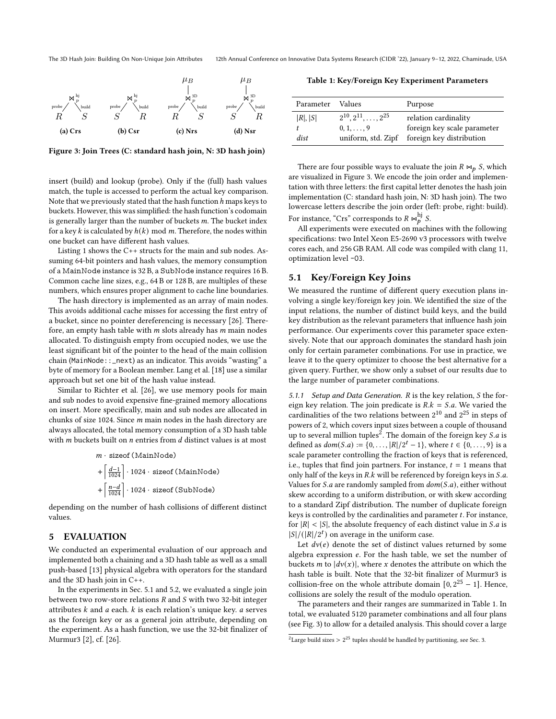<span id="page-4-2"></span>

Figure 3: Join Trees (C: standard hash join, N: 3D hash join)

insert (build) and lookup (probe). Only if the (full) hash values match, the tuple is accessed to perform the actual key comparison. Note that we previously stated that the hash function  $h$  maps keys to buckets. However, this was simplified: the hash function's codomain is generally larger than the number of buckets  $m$ . The bucket index for a key k is calculated by  $h(k)$  mod m. Therefore, the nodes within one bucket can have different hash values.

[Listing 1](#page-3-3) shows the C++ structs for the main and sub nodes. Assuming 64-bit pointers and hash values, the memory consumption of a MainNode instance is 32 B, a SubNode instance requires 16 B. Common cache line sizes, e.g., 64 B or 128 B, are multiples of these numbers, which ensures proper alignment to cache line boundaries.

The hash directory is implemented as an array of main nodes. This avoids additional cache misses for accessing the first entry of a bucket, since no pointer dereferencing is necessary [\[26\]](#page-8-2). Therefore, an empty hash table with  $m$  slots already has  $m$  main nodes allocated. To distinguish empty from occupied nodes, we use the least significant bit of the pointer to the head of the main collision chain (MainNode::\_next) as an indicator. This avoids "wasting" a byte of memory for a Boolean member. [Lang et al.](#page-7-5) [\[18\]](#page-7-5) use a similar approach but set one bit of the hash value instead.

Similar to [Richter et al.](#page-8-2) [\[26\]](#page-8-2), we use memory pools for main and sub nodes to avoid expensive fine-grained memory allocations on insert. More specifically, main and sub nodes are allocated in chunks of size 1024. Since  $m$  main nodes in the hash directory are always allocated, the total memory consumption of a 3D hash table with  $m$  buckets built on  $n$  entries from  $d$  distinct values is at most

 $m \cdot$  sizeof (MainNode)

$$
+\left[\frac{d-1}{1024}\right] \cdot 1024 \cdot \text{sizeof} \left(\text{MainNode}\right)
$$

$$
+\left[\frac{n-d}{1024}\right] \cdot 1024 \cdot \text{sizeof} \left(\text{SubNode}\right)
$$

depending on the number of hash collisions of different distinct values.

#### <span id="page-4-0"></span>5 EVALUATION

We conducted an experimental evaluation of our approach and implemented both a chaining and a 3D hash table as well as a small push-based [\[13\]](#page-7-20) physical algebra with operators for the standard and the 3D hash join in C++.

In the experiments in [Sec. 5.1](#page-4-1) and [5.2,](#page-5-0) we evaluated a single join between two row-store relations  $R$  and  $S$  with two 32-bit integer attributes  $k$  and  $a$  each.  $k$  is each relation's unique key.  $a$  serves as the foreign key or as a general join attribute, depending on the experiment. As a hash function, we use the 32-bit finalizer of Murmur3 [\[2\]](#page-7-21), cf. [\[26\]](#page-8-2).

<span id="page-4-4"></span>Table 1: Key/Foreign Key Experiment Parameters

| Parameter       | <b>Values</b>                                                               | Purpose                                                                         |
|-----------------|-----------------------------------------------------------------------------|---------------------------------------------------------------------------------|
| R ,  S <br>dist | $2^{10}, 2^{11}, \ldots, 2^{25}$<br>$0, 1, \ldots, 9$<br>uniform, std. Zipf | relation cardinality<br>foreign key scale parameter<br>foreign key distribution |

There are four possible ways to evaluate the join  $R \bowtie_p S$ , which are visualized in [Figure 3.](#page-4-2) We encode the join order and implementation with three letters: the first capital letter denotes the hash join implementation (C: standard hash join, N: 3D hash join). The two lowercase letters describe the join order (left: probe, right: build). For instance, "Crs" corresponds to  $R \Join_b^{\text{hj}} S$ .

All experiments were executed on machines with the following specifications: two Intel Xeon E5-2690 v3 processors with twelve cores each, and 256 GB RAM. All code was compiled with clang 11, optimization level -O3.

#### <span id="page-4-1"></span>5.1 Key/Foreign Key Joins

We measured the runtime of different query execution plans involving a single key/foreign key join. We identified the size of the input relations, the number of distinct build keys, and the build key distribution as the relevant parameters that influence hash join performance. Our experiments cover this parameter space extensively. Note that our approach dominates the standard hash join only for certain parameter combinations. For use in practice, we leave it to the query optimizer to choose the best alternative for a given query. Further, we show only a subset of our results due to the large number of parameter combinations.

5.1.1 Setup and Data Generation.  $R$  is the key relation,  $S$  the foreign key relation. The join predicate is  $R.k = S.a$ . We varied the cardinalities of the two relations between  $2^{10}$  and  $2^{25}$  in steps of powers of 2, which covers input sizes between a couple of thousand up to several million tuples<sup>[2](#page-4-3)</sup>. The domain of the foreign key *S.a* is defined as  $dom(S.a) := \{0, ..., |R|/2^t - 1\}$ , where  $t \in \{0, ..., 9\}$  is a scale parameter controlling the fraction of keys that is referenced, i.e., tuples that find join partners. For instance,  $t = 1$  means that only half of the keys in  $R.k$  will be referenced by foreign keys in  $S.a$ . Values for  $S.a$  are randomly sampled from  $dom(S.a)$ , either without skew according to a uniform distribution, or with skew according to a standard Zipf distribution. The number of duplicate foreign keys is controlled by the cardinalities and parameter  $t$ . For instance, for  $|R| < |S|$ , the absolute frequency of each distinct value in *S.a* is  $|S|/(|R|/2^t)$  on average in the uniform case.

Let  $dv(e)$  denote the set of distinct values returned by some algebra expression  $e$ . For the hash table, we set the number of buckets *m* to  $|dv(x)|$ , where *x* denotes the attribute on which the hash table is built. Note that the 32-bit finalizer of Murmur3 is collision-free on the whole attribute domain  $[0, 2^{25} - 1]$ . Hence, collisions are solely the result of the modulo operation.

The parameters and their ranges are summarized in [Table 1.](#page-4-4) In total, we evaluated 5120 parameter combinations and all four plans (see [Fig. 3\)](#page-4-2) to allow for a detailed analysis. This should cover a large

<span id="page-4-3"></span><sup>&</sup>lt;sup>2</sup>Large build sizes  $> 2^{25}$  tuples should be handled by partitioning, see [Sec. 3.](#page-1-0)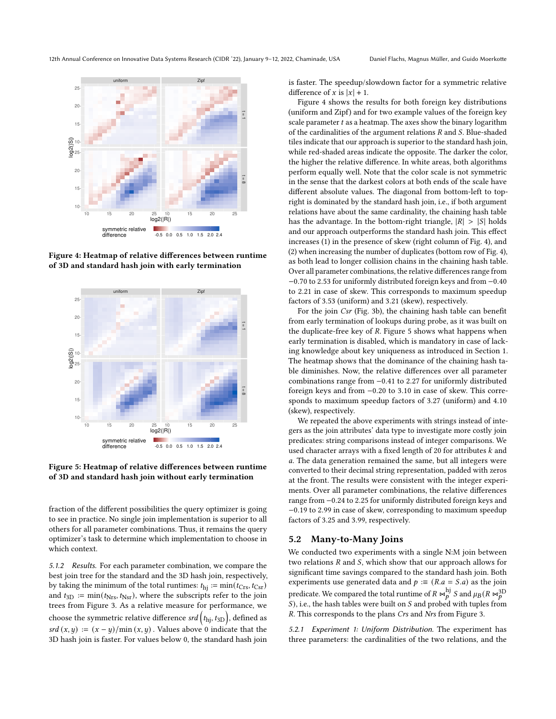<span id="page-5-1"></span>

<span id="page-5-2"></span>Figure 4: Heatmap of relative differences between runtime of 3D and standard hash join with early termination



Figure 5: Heatmap of relative differences between runtime of 3D and standard hash join without early termination

fraction of the different possibilities the query optimizer is going to see in practice. No single join implementation is superior to all others for all parameter combinations. Thus, it remains the query optimizer's task to determine which implementation to choose in which context.

<span id="page-5-3"></span>5.1.2 Results. For each parameter combination, we compare the best join tree for the standard and the 3D hash join, respectively, by taking the minimum of the total runtimes:  $t_{\text{hj}} := \min(t_{\text{Crs}}, t_{\text{Csr}})$ and  $t_{3D} := min(t_{Nrs}, t_{Nsr})$ , where the subscripts refer to the join trees from [Figure 3.](#page-4-2) As a relative measure for performance, we choose the symmetric relative difference  $\mathit{srd}\left(t_{\text{hj}},t_{3\text{D}}\right)$ , defined as  $srd(x, y) := (x - y)/min(x, y)$ . Values above 0 indicate that the 3D hash join is faster. For values below 0, the standard hash join

is faster. The speedup/slowdown factor for a symmetric relative difference of x is  $|x| + 1$ .

[Figure 4](#page-5-1) shows the results for both foreign key distributions (uniform and Zipf) and for two example values of the foreign key scale parameter  $t$  as a heatmap. The axes show the binary logarithm of the cardinalities of the argument relations  $R$  and  $S$ . Blue-shaded tiles indicate that our approach is superior to the standard hash join, while red-shaded areas indicate the opposite. The darker the color, the higher the relative difference. In white areas, both algorithms perform equally well. Note that the color scale is not symmetric in the sense that the darkest colors at both ends of the scale have different absolute values. The diagonal from bottom-left to topright is dominated by the standard hash join, i.e., if both argument relations have about the same cardinality, the chaining hash table has the advantage. In the bottom-right triangle,  $|R| > |S|$  holds and our approach outperforms the standard hash join. This effect increases (1) in the presence of skew (right column of [Fig. 4\)](#page-5-1), and (2) when increasing the number of duplicates (bottom row of [Fig. 4\)](#page-5-1), as both lead to longer collision chains in the chaining hash table. Over all parameter combinations, the relative differences range from −0.70 to 2.53 for uniformly distributed foreign keys and from −0.40 to 2.21 in case of skew. This corresponds to maximum speedup factors of 3.53 (uniform) and 3.21 (skew), respectively.

For the join Csr [\(Fig. 3b\)](#page-4-2), the chaining hash table can benefit from early termination of lookups during probe, as it was built on the duplicate-free key of  $R$ . [Figure 5](#page-5-2) shows what happens when early termination is disabled, which is mandatory in case of lacking knowledge about key uniqueness as introduced in [Section 1.](#page-0-1) The heatmap shows that the dominance of the chaining hash table diminishes. Now, the relative differences over all parameter combinations range from −0.41 to 2.27 for uniformly distributed foreign keys and from −0.20 to 3.10 in case of skew. This corresponds to maximum speedup factors of 3.27 (uniform) and 4.10 (skew), respectively.

We repeated the above experiments with strings instead of integers as the join attributes' data type to investigate more costly join predicates: string comparisons instead of integer comparisons. We used character arrays with a fixed length of 20 for attributes  $k$  and . The data generation remained the same, but all integers were converted to their decimal string representation, padded with zeros at the front. The results were consistent with the integer experiments. Over all parameter combinations, the relative differences range from −0.24 to 2.25 for uniformly distributed foreign keys and −0.19 to 2.99 in case of skew, corresponding to maximum speedup factors of 3.25 and 3.99, respectively.

## <span id="page-5-0"></span>5.2 Many-to-Many Joins

We conducted two experiments with a single N:M join between two relations  $R$  and  $S$ , which show that our approach allows for significant time savings compared to the standard hash join. Both experiments use generated data and  $p := (R.a = S.a)$  as the join predicate. We compared the total runtime of  $R \Join_b^{\text{hj}} S$  and  $\mu_B (R \Join_b^{3D})$  $S$ ), i.e., the hash tables were built on  $S$  and probed with tuples from . This corresponds to the plans Crs and Nrs from [Figure 3.](#page-4-2)

5.2.1 Experiment 1: Uniform Distribution. The experiment has three parameters: the cardinalities of the two relations, and the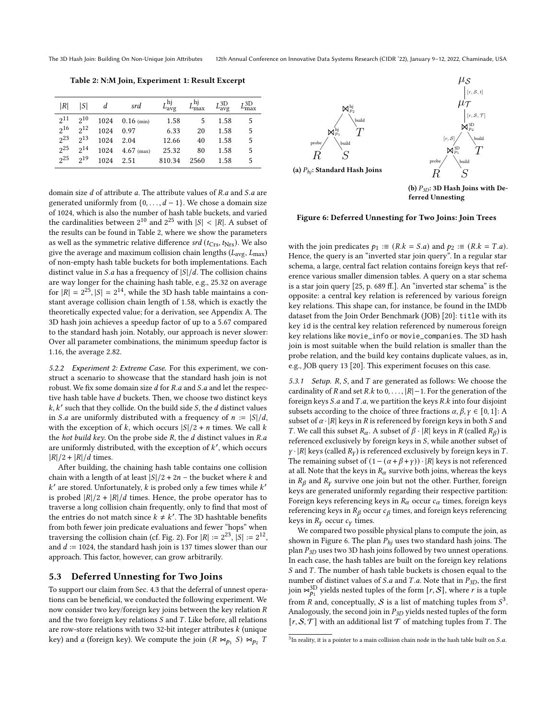<span id="page-6-1"></span>The 3D Hash Join: Building On Non-Unique Join Attributes 12th Annual Conference on Innovative Data Systems Research (CIDR '22), January 9-12, 2022, Chaminade, USA

Table 2: N:M Join, Experiment 1: Result Excerpt

| R              | ISI      | d    | srd          | $L_{\rm{avg}}^{\rm{hj}}$ | $L_{\rm max}^{\rm hj}$ | $L_{\rm ave}^{\rm 3D}$ | $L_{\rm max}^{\rm 3D}$ |
|----------------|----------|------|--------------|--------------------------|------------------------|------------------------|------------------------|
| $2^{11}$       | $2^{10}$ | 1024 | $0.16$ (min) | 1.58                     |                        | 1.58                   | 5                      |
| $2^{16}$       | $2^{12}$ | 1024 | 0.97         | 6.33                     | 20                     | 1.58                   | 5                      |
| 23             | $2^{13}$ | 1024 | 2.04         | 12.66                    | 40                     | 1.58                   | 5                      |
| 225            | $2^{14}$ | 1024 | $4.67$ (max) | 25.32                    | 80                     | 1.58                   | 5                      |
| 2 <sub>2</sub> | 219      | 1024 | 2.51         | 810.34                   | 2560                   | 1.58                   | 5                      |

domain size  $d$  of attribute  $a$ . The attribute values of  $R.a$  and  $S.a$  are generated uniformly from  $\{0, \ldots, d-1\}$ . We chose a domain size of 1024, which is also the number of hash table buckets, and varied the cardinalities between  $2^{10}$  and  $2^{25}$  with  $|S| < |R|$ . A subset of the results can be found in [Table 2,](#page-6-1) where we show the parameters as well as the symmetric relative difference  $srd$  ( $t_{\rm Crs}, t_{\rm Nrs}$ ). We also give the average and maximum collision chain lengths ( $L_{\text{avg}}$ ,  $L_{\text{max}}$ ) of non-empty hash table buckets for both implementations. Each distinct value in S.a has a frequency of  $|S|/d$ . The collision chains are way longer for the chaining hash table, e.g., 25.32 on average for  $|R| = 2^{25}$ ,  $|S| = 2^{14}$ , while the 3D hash table maintains a constant average collision chain length of 1.58, which is exactly the theoretically expected value; for a derivation, see [Appendix A.](#page-8-6) The 3D hash join achieves a speedup factor of up to a 5.67 compared to the standard hash join. Notably, our approach is never slower: Over all parameter combinations, the minimum speedup factor is 1.16, the average 2.82.

5.2.2 Experiment 2: Extreme Case. For this experiment, we construct a scenario to showcase that the standard hash join is not robust. We fix some domain size  $d$  for  $R.a$  and  $S.a$  and let the respective hash table have d buckets. Then, we choose two distinct keys  $k, k'$  such that they collide. On the build side S, the  $d$  distinct values in *S.a* are uniformly distributed with a frequency of  $n := |S|/d$ , with the exception of k, which occurs  $|S|/2 + n$  times. We call k the hot build key. On the probe side  $R$ , the  $d$  distinct values in  $R.a$ are uniformly distributed, with the exception of  $k'$ , which occurs  $|R|/2 + |R|/d$  times.

After building, the chaining hash table contains one collision chain with a length of at least  $|S|/2 + 2n$  – the bucket where k and  $k'$  are stored. Unfortunately,  $k$  is probed only a few times while  $k'$ is probed  $|R|/2 + |R|/d$  times. Hence, the probe operator has to traverse a long collision chain frequently, only to find that most of the entries do not match since  $k \neq k'$ . The 3D hashtable benefits from both fewer join predicate evaluations and fewer "hops" when traversing the collision chain (cf. [Fig. 2\)](#page-3-2). For  $|R| := 2^{23}$ ,  $|S| := 2^{12}$ , and  $d := 1024$ , the standard hash join is 137 times slower than our approach. This factor, however, can grow arbitrarily.

#### <span id="page-6-0"></span>5.3 Deferred Unnesting for Two Joins

To support our claim from [Sec. 4.3](#page-3-0) that the deferral of unnest operations can be beneficial, we conducted the following experiment. We now consider two key/foreign key joins between the key relation  $R$ and the two foreign key relations  $S$  and  $T$ . Like before, all relations are row-store relations with two 32-bit integer attributes  $k$  (unique key) and *a* (foreign key). We compute the join  $(R \Join_{p_1} S) \Join_{p_2} T$ 

<span id="page-6-2"></span>

(a)  $P_{hi}$ : Standard Hash Joins

(b)  $P_{3D}$ : 3D Hash Joins with Deferred Unnesting

 $S$ 

R

#### Figure 6: Deferred Unnesting for Two Joins: Join Trees

with the join predicates  $p_1 := (R \cdot k = S \cdot a)$  and  $p_2 := (R \cdot k = T \cdot a)$ . Hence, the query is an "inverted star join query". In a regular star schema, a large, central fact relation contains foreign keys that reference various smaller dimension tables. A query on a star schema is a star join query [\[25,](#page-8-7) p. 689 ff.]. An "inverted star schema" is the opposite: a central key relation is referenced by various foreign key relations. This shape can, for instance, be found in the IMDb dataset from the Join Order Benchmark (JOB) [\[20\]](#page-7-22): title with its key id is the central key relation referenced by numerous foreign key relations like movie\_info or movie\_companies. The 3D hash join is most suitable when the build relation is smaller than the probe relation, and the build key contains duplicate values, as in, e.g., JOB query 13 [\[20\]](#page-7-22). This experiment focuses on this case.

5.3.1 Setup. R, S, and T are generated as follows: We choose the cardinality of R and set R.k to  $0, \ldots, |R|-1$ . For the generation of the foreign keys  $S.a$  and  $T.a$ , we partition the keys  $R.k$  into four disjoint subsets according to the choice of three fractions  $\alpha, \beta, \gamma \in [0, 1]$ : A subset of  $\alpha$  · |R| keys in R is referenced by foreign keys in both *S* and T. We call this subset  $R_{\alpha}$ . A subset of  $\beta \cdot |R|$  keys in R (called  $R_{\beta}$ ) is referenced exclusively by foreign keys in  $S$ , while another subset of  $\gamma \cdot |R|$  keys (called  $R_V$ ) is referenced exclusively by foreign keys in T. The remaining subset of  $(1 - (\alpha + \beta + \gamma)) \cdot |R|$  keys is not referenced at all. Note that the keys in  $R_\alpha$  survive both joins, whereas the keys in  $R_\beta$  and  $R_\gamma$  survive one join but not the other. Further, foreign keys are generated uniformly regarding their respective partition: Foreign keys referencing keys in  $R_{\alpha}$  occur  $c_{\alpha}$  times, foreign keys referencing keys in  $R_\beta$  occur  $c_\beta$  times, and foreign keys referencing keys in  $R_V$  occur  $c_V$  times.

We compared two possible physical plans to compute the join, as shown in [Figure 6.](#page-6-2) The plan  $P_{hi}$  uses two standard hash joins. The plan  $P_{3D}$  uses two 3D hash joins followed by two unnest operations. In each case, the hash tables are built on the foreign key relations  $S$  and  $T$ . The number of hash table buckets is chosen equal to the number of distinct values of *S.a* and *T.a.* Note that in  $P_{3D}$ , the first join  $\bowtie_{p_1}^{\rm 3D}$  yields nested tuples of the form  $[r, \mathcal{S}],$  where  $r$  is a tuple from  $\hat{R}$  and, conceptually,  $\hat{S}$  is a list of matching tuples from  $S^3$  $S^3$ . Analogously, the second join in  $P_{3D}$  yields nested tuples of the form  $[r, S, T]$  with an additional list  $T$  of matching tuples from T. The

<span id="page-6-3"></span> $3$ In reality, it is a pointer to a main collision chain node in the hash table built on S.a.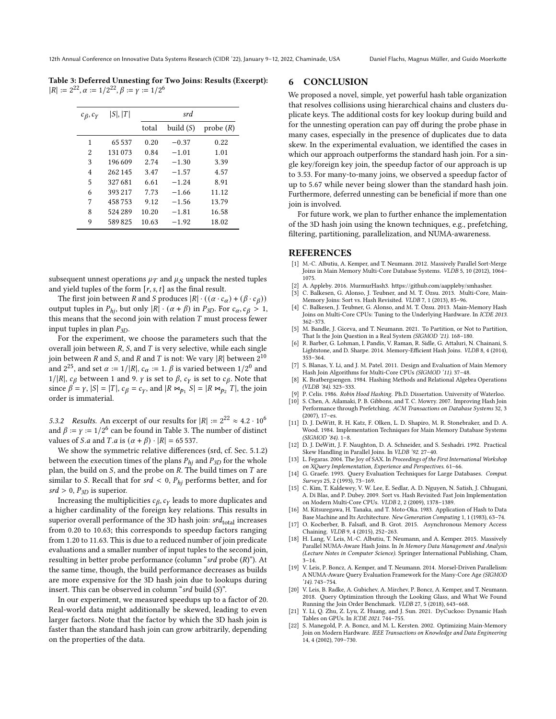<span id="page-7-23"></span>Table 3: Deferred Unnesting for Two Joins: Results (Excerpt):  $|R| := 2^{22}, \alpha := 1/2^{22}, \beta := \gamma := 1/2^6$ 

| $c_{\beta}, c_{\gamma}$ | S ,  T  |       | srd         |          |  |
|-------------------------|---------|-------|-------------|----------|--|
|                         |         | total | build $(S)$ | probe(R) |  |
| 1                       | 65 537  | 0.20  | $-0.37$     | 0.22     |  |
| 2                       | 131 073 | 0.84  | $-1.01$     | 1.01     |  |
| 3                       | 196609  | 2.74  | $-1.30$     | 3.39     |  |
| 4                       | 262 145 | 3.47  | $-1.57$     | 4.57     |  |
| 5                       | 327681  | 6.61  | $-1.24$     | 8.91     |  |
| 6                       | 393 217 | 7.73  | $-1.66$     | 11.12    |  |
| 7                       | 458753  | 9.12  | $-1.56$     | 13.79    |  |
| 8                       | 524 289 | 10.20 | $-1.81$     | 16.58    |  |
| 9                       | 589825  | 10.63 | $-1.92$     | 18.02    |  |
|                         |         |       |             |          |  |

subsequent unnest operations  $\mu_{\mathcal{T}}$  and  $\mu_{\mathcal{S}}$  unpack the nested tuples and yield tuples of the form  $[r, s, t]$  as the final result.

The first join between *R* and *S* produces  $|R| \cdot ((\alpha \cdot c_{\alpha}) + (\beta \cdot c_{\beta}))$ output tuples in  $P_{hi}$ , but only  $|R| \cdot (\alpha + \beta)$  in  $P_{3D}$ . For  $c_{\alpha}, c_{\beta} > 1$ , this means that the second join with relation  $T$  must process fewer input tuples in plan  $P_{3D}$ .

For the experiment, we choose the parameters such that the overall join between  $R$ ,  $S$ , and  $T$  is very selective, while each single join between R and S, and R and T is not: We vary |R| between  $2^{10}$ and  $2^{25}$ , and set  $\alpha := 1/|R|$ ,  $c_{\alpha} := 1$ .  $\beta$  is varied between  $1/2^0$  and 1/|R|,  $c_\beta$  between 1 and 9.  $\gamma$  is set to  $\beta$ ,  $c_\gamma$  is set to  $c_\beta$ . Note that since  $\beta = \gamma$ ,  $|S| = |T|$ ,  $c_{\beta} = c_{\gamma}$ , and  $|R \Join_{p_1} S| = |R \Join_{p_2} T|$ , the join order is immaterial.

5.3.2 Results. An excerpt of our results for  $|R| := 2^{22} \approx 4.2 \cdot 10^6$ and  $\beta := \gamma := 1/2^6$  can be found in [Table 3.](#page-7-23) The number of distinct values of *S.a* and *T.a* is  $(\alpha + \beta) \cdot |R| = 65537$ .

We show the symmetric relative differences (srd, cf. [Sec. 5.1.2\)](#page-5-3) between the execution times of the plans  $P_{hi}$  and  $P_{3D}$  for the whole plan, the build on  $S$ , and the probe on  $R$ . The build times on  $T$  are similar to S. Recall that for  $srd < 0$ ,  $P_{hi}$  performs better, and for  $srd > 0$ ,  $P_{3D}$  is superior.

Increasing the multiplicities  $c_{\beta}, c_{\gamma}$  leads to more duplicates and a higher cardinality of the foreign key relations. This results in superior overall performance of the 3D hash join:  $srd_{\mathrm{total}}$  increases from 0.20 to 10.63; this corresponds to speedup factors ranging from 1.20 to 11.63. This is due to a reduced number of join predicate evaluations and a smaller number of input tuples to the second join, resulting in better probe performance (column " $srd$  probe  $(R)$ "). At the same time, though, the build performance decreases as builds are more expensive for the 3D hash join due to lookups during insert. This can be observed in column " $srd$  build  $(S)$ ".

In our experiment, we measured speedups up to a factor of 20. Real-world data might additionally be skewed, leading to even larger factors. Note that the factor by which the 3D hash join is faster than the standard hash join can grow arbitrarily, depending on the properties of the data.

# <span id="page-7-7"></span>6 CONCLUSION

We proposed a novel, simple, yet powerful hash table organization that resolves collisions using hierarchical chains and clusters duplicate keys. The additional costs for key lookup during build and for the unnesting operation can pay off during the probe phase in many cases, especially in the presence of duplicates due to data skew. In the experimental evaluation, we identified the cases in which our approach outperforms the standard hash join. For a single key/foreign key join, the speedup factor of our approach is up to 3.53. For many-to-many joins, we observed a speedup factor of up to 5.67 while never being slower than the standard hash join. Furthermore, deferred unnesting can be beneficial if more than one join is involved.

For future work, we plan to further enhance the implementation of the 3D hash join using the known techniques, e.g., prefetching, filtering, partitioning, parallelization, and NUMA-awareness.

## REFERENCES

- <span id="page-7-17"></span>[1] M.-C. Albutiu, A. Kemper, and T. Neumann. 2012. Massively Parallel Sort-Merge Joins in Main Memory Multi-Core Database Systems. VLDB 5, 10 (2012), 1064– 1075.
- <span id="page-7-21"></span>[2] A. Appleby. 2016. MurmurHash3. https://github.com/aappleby/smhasher.
- <span id="page-7-0"></span>[3] C. Balkesen, G. Alonso, J. Teubner, and M. T. Özsu. 2013. Multi-Core, Main-Memory Joins: Sort vs. Hash Revisited. VLDB 7, 1 (2013), 85–96.
- <span id="page-7-12"></span>[4] C. Balkesen, J. Teubner, G. Alonso, and M. T. Özsu. 2013. Main-Memory Hash Joins on Multi-Core CPUs: Tuning to the Underlying Hardware. In ICDE 2013. 362–373.
- <span id="page-7-13"></span>[5] M. Bandle, J. Giceva, and T. Neumann. 2021. To Partition, or Not to Partition, That Is the Join Question in a Real System (SIGMOD '21). 168–180.
- <span id="page-7-1"></span>[6] R. Barber, G. Lohman, I. Pandis, V. Raman, R. Sidle, G. Attaluri, N. Chainani, S. Lightstone, and D. Sharpe. 2014. Memory-Efficient Hash Joins. VLDB 8, 4 (2014), 353–364.
- <span id="page-7-2"></span>[7] S. Blanas, Y. Li, and J. M. Patel. 2011. Design and Evaluation of Main Memory Hash Join Algorithms for Multi-Core CPUs (SIGMOD '11). 37–48.
- <span id="page-7-9"></span>[8] K. Bratbergsengen. 1984. Hashing Methods and Relational Algebra Operations (VLDB '84). 323–333.
- <span id="page-7-15"></span><span id="page-7-8"></span>[9] P. Celis. 1986. Robin Hood Hashing. Ph.D. Dissertation. University of Waterloo.<br>[10] S. Chen. A. Ailamaki. P. B. Gibbons. and T. C. Mowry. 2007. Improving Hash Joir S. Chen, A. Ailamaki, P. B. Gibbons, and T. C. Mowry. 2007. Improving Hash Join
- Performance through Prefetching. ACM Transactions on Database Systems 32, 3 (2007), 17–es.
- <span id="page-7-3"></span>[11] D. J. DeWitt, R. H. Katz, F. Olken, L. D. Shapiro, M. R. Stonebraker, and D. A. Wood. 1984. Implementation Techniques for Main Memory Database Systems (SIGMOD '84). 1–8.
- <span id="page-7-18"></span>[12] D. J. DeWitt, J. F. Naughton, D. A. Schneider, and S. Seshadri. 1992. Practical Skew Handling in Parallel Joins. In VLDB '92. 27–40.
- <span id="page-7-20"></span>[13] L. Fegaras. 2004. The Joy of SAX. In Proceedings of the First International Workshop on XQuery Implementation, Experience and Perspectives. 61–66.
- <span id="page-7-10"></span>[14] G. Graefe. 1993. Query Evaluation Techniques for Large Databases. Comput. Surveys 25, 2 (1993), 73–169.
- <span id="page-7-4"></span>[15] C. Kim, T. Kaldewey, V. W. Lee, E. Sedlar, A. D. Nguyen, N. Satish, J. Chhugani, A. Di Blas, and P. Dubey. 2009. Sort vs. Hash Revisited: Fast Join Implementation on Modern Multi-Core CPUs. VLDB 2, 2 (2009), 1378–1389.
- <span id="page-7-11"></span>[16] M. Kitsuregawa, H. Tanaka, and T. Moto-Oka. 1983. Application of Hash to Data Base Machine and Its Architecture. New Generation Computing 1, 1 (1983), 63–74.
- <span id="page-7-16"></span>[17] O. Kocberber, B. Falsafi, and B. Grot. 2015. Asynchronous Memory Access Chaining. VLDB 9, 4 (2015), 252–263.
- <span id="page-7-5"></span>[18] H. Lang, V. Leis, M.-C. Albutiu, T. Neumann, and A. Kemper. 2015. Massively Parallel NUMA-Aware Hash Joins. In In Memory Data Management and Analysis (Lecture Notes in Computer Science). Springer International Publishing, Cham,  $3 - 14.$
- <span id="page-7-19"></span>[19] V. Leis, P. Boncz, A. Kemper, and T. Neumann. 2014. Morsel-Driven Parallelism: A NUMA-Aware Query Evaluation Framework for the Many-Core Age (SIGMOD '14). 743–754.
- <span id="page-7-22"></span>[20] V. Leis, B. Radke, A. Gubichev, A. Mirchev, P. Boncz, A. Kemper, and T. Neumann. 2018. Query Optimization through the Looking Glass, and What We Found Running the Join Order Benchmark. VLDB 27, 5 (2018), 643–668.
- <span id="page-7-14"></span>[21] Y. Li, Q. Zhu, Z. Lyu, Z. Huang, and J. Sun. 2021. DyCuckoo: Dynamic Hash Tables on GPUs. In ICDE 2021. 744–755.
- <span id="page-7-6"></span>[22] S. Manegold, P. A. Boncz, and M. L. Kersten. 2002. Optimizing Main-Memory Join on Modern Hardware. IEEE Transactions on Knowledge and Data Engineering 14, 4 (2002), 709–730.